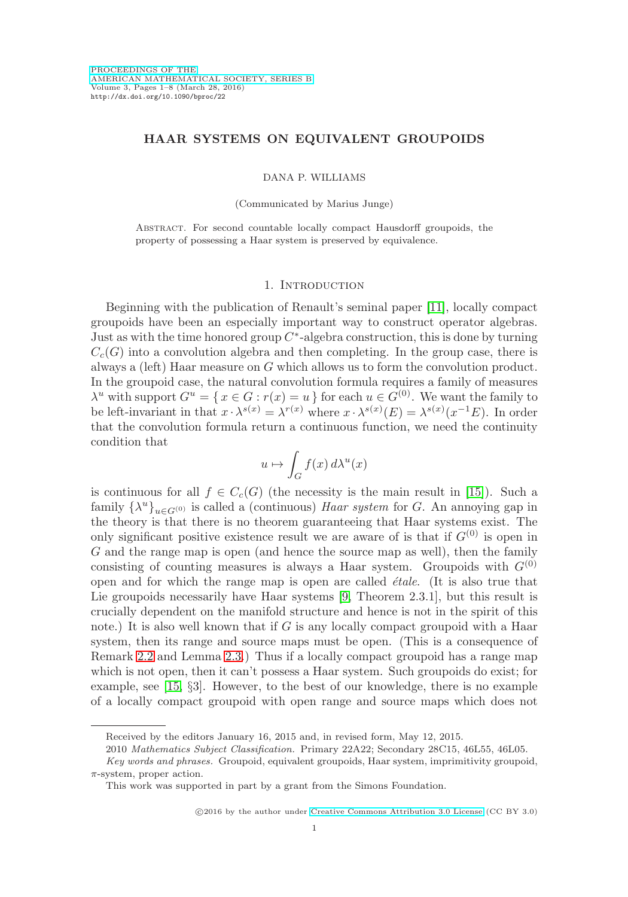# **HAAR SYSTEMS ON EQUIVALENT GROUPOIDS**

#### DANA P. WILLIAMS

(Communicated by Marius Junge)

Abstract. For second countable locally compact Hausdorff groupoids, the property of possessing a Haar system is preserved by equivalence.

## 1. INTRODUCTION

Beginning with the publication of Renault's seminal paper [\[11\]](#page-7-0), locally compact groupoids have been an especially important way to construct operator algebras. Just as with the time honored group  $C^*$ -algebra construction, this is done by turning  $C_c(G)$  into a convolution algebra and then completing. In the group case, there is always a (left) Haar measure on G which allows us to form the convolution product. In the groupoid case, the natural convolution formula requires a family of measures  $\lambda^u$  with support  $G^u = \{x \in G : r(x) = u\}$  for each  $u \in G^{(0)}$ . We want the family to be left-invariant in that  $x \cdot \lambda^{s(x)} = \lambda^{r(x)}$  where  $x \cdot \lambda^{s(x)}(E) = \lambda^{s(x)}(x^{-1}E)$ . In order that the convolution formula return a continuous function, we need the continuity condition that

$$
u\mapsto \int_G f(x)\,d\lambda^u(x)
$$

is continuous for all  $f \in C_c(G)$  (the necessity is the main result in [\[15\]](#page-7-1)). Such a family  $\{\lambda^u\}_{u \in G^{(0)}}$  is called a (continuous) Haar system for G. An annoying gap in the theory is that there is no theorem guaranteeing that Haar systems exist. The only significant positive existence result we are aware of is that if  $G^{(0)}$  is open in G and the range map is open (and hence the source map as well), then the family consisting of counting measures is always a Haar system. Groupoids with  $G^{(0)}$ open and for which the range map is open are called  $\acute{e}tale$ . (It is also true that Lie groupoids necessarily have Haar systems [\[9,](#page-7-2) Theorem 2.3.1], but this result is crucially dependent on the manifold structure and hence is not in the spirit of this note.) It is also well known that if  $G$  is any locally compact groupoid with a Haar system, then its range and source maps must be open. (This is a consequence of Remark [2.2](#page-1-0) and Lemma [2.3.](#page-2-0)) Thus if a locally compact groupoid has a range map which is not open, then it can't possess a Haar system. Such groupoids do exist; for example, see [\[15,](#page-7-1) §3]. However, to the best of our knowledge, there is no example of a locally compact groupoid with open range and source maps which does not

Received by the editors January 16, 2015 and, in revised form, May 12, 2015.

<sup>2010</sup> Mathematics Subject Classification. Primary 22A22; Secondary 28C15, 46L55, 46L05.

Key words and phrases. Groupoid, equivalent groupoids, Haar system, imprimitivity groupoid,  $\pi$ -system, proper action.

This work was supported in part by a grant from the Simons Foundation.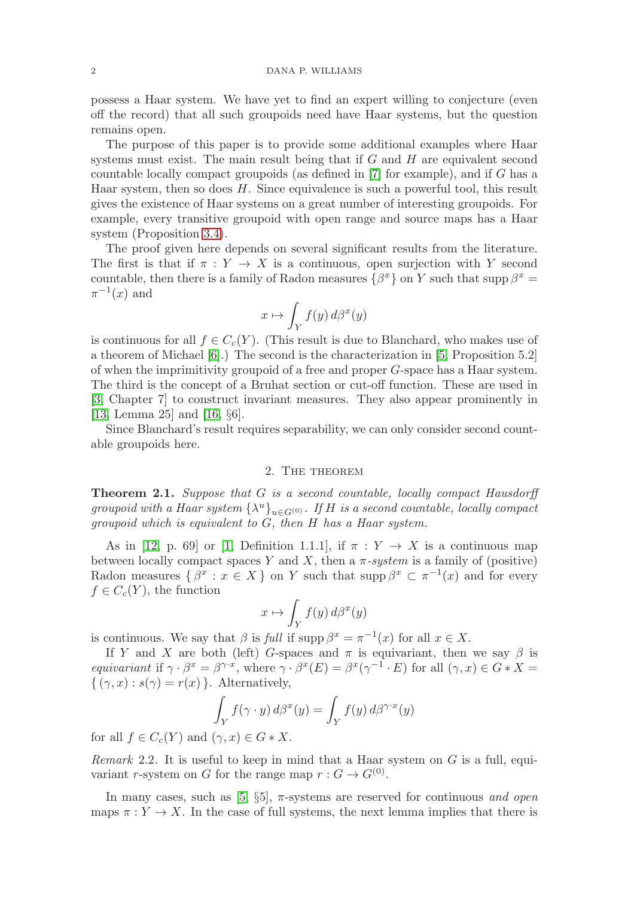possess a Haar system. We have yet to find an expert willing to conjecture (even off the record) that all such groupoids need have Haar systems, but the question remains open.

The purpose of this paper is to provide some additional examples where Haar systems must exist. The main result being that if  $G$  and  $H$  are equivalent second countable locally compact groupoids (as defined in [\[7\]](#page-7-3) for example), and if G has a Haar system, then so does H. Since equivalence is such a powerful tool, this result gives the existence of Haar systems on a great number of interesting groupoids. For example, every transitive groupoid with open range and source maps has a Haar system (Proposition [3.4\)](#page-5-0).

The proof given here depends on several significant results from the literature. The first is that if  $\pi : Y \to X$  is a continuous, open surjection with Y second countable, then there is a family of Radon measures  $\{\beta^x\}$  on Y such that supp  $\beta^x =$  $\pi^{-1}(x)$  and

$$
x\mapsto \int_Y f(y)\,d\beta^x(y)
$$

is continuous for all  $f \in C_c(Y)$ . (This result is due to Blanchard, who makes use of a theorem of Michael [\[6\]](#page-7-4).) The second is the characterization in [\[5,](#page-7-5) Proposition 5.2] of when the imprimitivity groupoid of a free and proper G-space has a Haar system. The third is the concept of a Bruhat section or cut-off function. These are used in [\[3,](#page-7-6) Chapter 7] to construct invariant measures. They also appear prominently in [\[13,](#page-7-7) Lemma 25] and [\[16,](#page-7-8) §6].

Since Blanchard's result requires separability, we can only consider second countable groupoids here.

# 2. The theorem

<span id="page-1-1"></span>**Theorem 2.1.** Suppose that G is a second countable, locally compact Hausdorff groupoid with a Haar system  $\{\lambda^u\}_{u \in G^{(0)}}$ . If H is a second countable, locally compact groupoid which is equivalent to G, then H has a Haar system.

As in [\[12,](#page-7-9) p. 69] or [\[1,](#page-7-10) Definition 1.1.1], if  $\pi : Y \to X$  is a continuous map between locally compact spaces Y and X, then a  $\pi$ -system is a family of (positive) Radon measures  $\{\beta^x : x \in X\}$  on Y such that supp  $\beta^x \subset \pi^{-1}(x)$  and for every  $f \in C_c(Y)$ , the function

$$
x\mapsto \int_Y f(y)\,d\beta^x(y)
$$

is continuous. We say that  $\beta$  is full if supp  $\beta^x = \pi^{-1}(x)$  for all  $x \in X$ .

If Y and X are both (left) G-spaces and  $\pi$  is equivariant, then we say  $\beta$  is equivariant if  $\gamma \cdot \beta^x = \beta^{\gamma \cdot x}$ , where  $\gamma \cdot \beta^x(E) = \beta^x(\gamma^{-1} \cdot E)$  for all  $(\gamma, x) \in G * X =$  $\{(\gamma, x) : s(\gamma) = r(x)\}\.$  Alternatively,

$$
\int_Y f(\gamma \cdot y) d\beta^x(y) = \int_Y f(y) d\beta^{\gamma \cdot x}(y)
$$

for all  $f \in C_c(Y)$  and  $(\gamma, x) \in G * X$ .

<span id="page-1-0"></span>Remark 2.2. It is useful to keep in mind that a Haar system on  $G$  is a full, equivariant r-system on G for the range map  $r: G \to G^{(0)}$ .

In many cases, such as  $[5, \S5]$  $[5, \S5]$ ,  $\pi$ -systems are reserved for continuous and open maps  $\pi: Y \to X$ . In the case of full systems, the next lemma implies that there is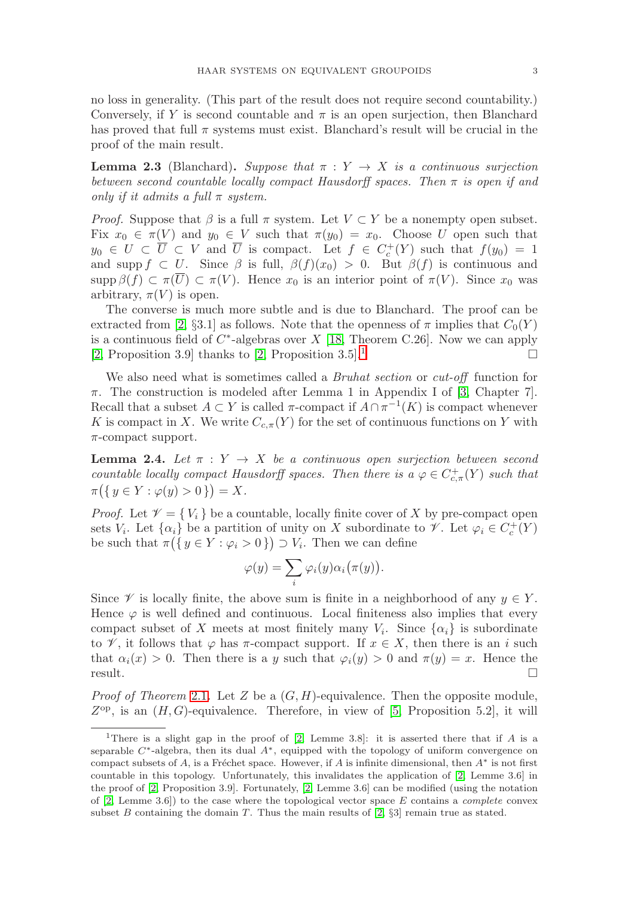no loss in generality. (This part of the result does not require second countability.) Conversely, if Y is second countable and  $\pi$  is an open surjection, then Blanchard has proved that full  $\pi$  systems must exist. Blanchard's result will be crucial in the proof of the main result.

<span id="page-2-0"></span>**Lemma 2.3** (Blanchard). Suppose that  $\pi : Y \to X$  is a continuous surjection between second countable locally compact Hausdorff spaces. Then  $\pi$  is open if and only if it admits a full  $\pi$  system.

*Proof.* Suppose that  $\beta$  is a full  $\pi$  system. Let  $V \subset Y$  be a nonempty open subset. Fix  $x_0 \in \pi(V)$  and  $y_0 \in V$  such that  $\pi(y_0) = x_0$ . Choose U open such that  $y_0 \in U \subset \overline{U} \subset V$  and  $\overline{U}$  is compact. Let  $f \in C_c^+(Y)$  such that  $f(y_0) = 1$ and supp  $f \subset U$ . Since  $\beta$  is full,  $\beta(f)(x_0) > 0$ . But  $\beta(f)$  is continuous and supp  $\beta(f) \subset \pi(\overline{U}) \subset \pi(V)$ . Hence  $x_0$  is an interior point of  $\pi(V)$ . Since  $x_0$  was arbitrary,  $\pi(V)$  is open.

The converse is much more subtle and is due to Blanchard. The proof can be extracted from [\[2,](#page-7-11) §3.1] as follows. Note that the openness of  $\pi$  implies that  $C_0(Y)$ is a continuous field of  $C^*$ -algebras over X [\[18,](#page-7-12) Theorem C.26]. Now we can apply [\[2,](#page-7-11) Proposition 3.9] thanks to [2, Proposition 3.5].<sup>[1](#page-2-1)</sup>

We also need what is sometimes called a *Bruhat section* or *cut-off* function for  $\pi$ . The construction is modeled after Lemma 1 in Appendix I of [\[3,](#page-7-6) Chapter 7]. Recall that a subset  $A \subset Y$  is called  $\pi$ -compact if  $A \cap \pi^{-1}(K)$  is compact whenever K is compact in X. We write  $C_{c,\pi}(Y)$  for the set of continuous functions on Y with  $\pi$ -compact support.

<span id="page-2-2"></span>**Lemma 2.4.** Let  $\pi : Y \to X$  be a continuous open surjection between second countable locally compact Hausdorff spaces. Then there is  $a \varphi \in C_{c,\pi}^{+}(Y)$  such that  $\pi(\{y \in Y : \varphi(y) > 0\}) = X.$ 

*Proof.* Let  $\mathcal{V} = \{V_i\}$  be a countable, locally finite cover of X by pre-compact open sets  $V_i$ . Let  $\{\alpha_i\}$  be a partition of unity on X subordinate to  $\mathscr V$ . Let  $\varphi_i \in C_c^+(Y)$ be such that  $\pi({y \in Y : \varphi_i > 0}) \supset V_i$ . Then we can define

$$
\varphi(y) = \sum_i \varphi_i(y) \alpha_i(\pi(y)).
$$

Since  $\mathscr V$  is locally finite, the above sum is finite in a neighborhood of any  $y \in Y$ . Hence  $\varphi$  is well defined and continuous. Local finiteness also implies that every compact subset of X meets at most finitely many  $V_i$ . Since  $\{\alpha_i\}$  is subordinate to  $\mathscr V$ , it follows that  $\varphi$  has  $\pi$ -compact support. If  $x \in X$ , then there is an i such that  $\alpha_i(x) > 0$ . Then there is a y such that  $\varphi_i(y) > 0$  and  $\pi(y) = x$ . Hence the result.

*Proof of Theorem [2.1](#page-1-1).* Let Z be a  $(G, H)$ -equivalence. Then the opposite module,  $Z^{\rm op}$ , is an  $(H, G)$ -equivalence. Therefore, in view of [\[5,](#page-7-5) Proposition 5.2], it will

<span id="page-2-1"></span><sup>&</sup>lt;sup>1</sup>There is a slight gap in the proof of [\[2,](#page-7-11) Lemme 3.8]: it is asserted there that if A is a separable  $C^*$ -algebra, then its dual  $A^*$ , equipped with the topology of uniform convergence on compact subsets of A, is a Fréchet space. However, if A is infinite dimensional, then  $A^*$  is not first countable in this topology. Unfortunately, this invalidates the application of [\[2,](#page-7-11) Lemme 3.6] in the proof of [\[2,](#page-7-11) Proposition 3.9]. Fortunately, [\[2,](#page-7-11) Lemme 3.6] can be modified (using the notation of  $[2, \text{ Lemme } 3.6]$  $[2, \text{ Lemme } 3.6]$  to the case where the topological vector space E contains a *complete* convex subset B containing the domain T. Thus the main results of  $[2, \S3]$  $[2, \S3]$  remain true as stated.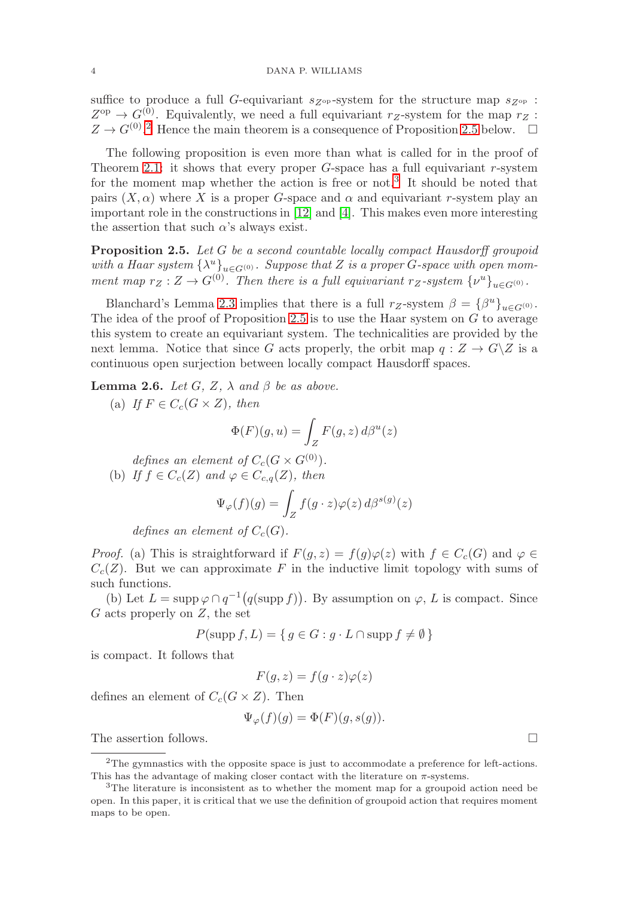suffice to produce a full G-equivariant  $s_{Z^{\text{op}}}$ -system for the structure map  $s_{Z^{\text{op}}}$ :  $Z^{\text{op}} \to G^{(0)}$ . Equivalently, we need a full equivariant  $r_Z$ -system for the map  $r_Z$ :  $Z \to G^{(0)}$ .<sup>[2](#page-3-0)</sup> Hence the main theorem is a consequence of Proposition [2.5](#page-3-1) below.  $\Box$ 

The following proposition is even more than what is called for in the proof of Theorem [2.1:](#page-1-1) it shows that every proper  $G$ -space has a full equivariant r-system for the moment map whether the action is free or not.<sup>[3](#page-3-2)</sup> It should be noted that pairs  $(X, \alpha)$  where X is a proper G-space and  $\alpha$  and equivariant r-system play an important role in the constructions in [\[12\]](#page-7-9) and [\[4\]](#page-7-13). This makes even more interesting the assertion that such  $\alpha$ 's always exist.

<span id="page-3-1"></span>**Proposition 2.5.** Let G be a second countable locally compact Hausdorff groupoid with a Haar system  $\{\lambda^u\}_{u \in G^{(0)}}$ . Suppose that Z is a proper G-space with open momment map  $r_Z : Z \to G^{(0)}$ . Then there is a full equivariant  $r_Z$ -system  $\{v^u\}_{u \in G^{(0)}}$ .

Blanchard's Lemma [2.3](#page-2-0) implies that there is a full  $r_Z$ -system  $\beta = {\beta^u}_{u \in G^{(0)}}$ . The idea of the proof of Proposition [2.5](#page-3-1) is to use the Haar system on  $G$  to average this system to create an equivariant system. The technicalities are provided by the next lemma. Notice that since G acts properly, the orbit map  $q: Z \to G\backslash Z$  is a continuous open surjection between locally compact Hausdorff spaces.

**Lemma 2.6.** Let  $G$ ,  $Z$ ,  $\lambda$  and  $\beta$  be as above.

(a) If  $F \in C_c(G \times Z)$ , then

$$
\Phi(F)(g, u) = \int_Z F(g, z) d\beta^u(z)
$$

defines an element of  $C_c(G \times G^{(0)})$ . (b) If  $f \in C_c(Z)$  and  $\varphi \in C_{c,q}(Z)$ , then

$$
\Psi_{\varphi}(f)(g) = \int_{Z} f(g \cdot z) \varphi(z) d\beta^{s(g)}(z)
$$

defines an element of  $C_c(G)$ .

*Proof.* (a) This is straightforward if  $F(g, z) = f(g)\varphi(z)$  with  $f \in C_c(G)$  and  $\varphi \in$  $C_c(Z)$ . But we can approximate F in the inductive limit topology with sums of such functions.

(b) Let  $L = \text{supp }\varphi \cap q^{-1}(q(\text{supp }f))$ . By assumption on  $\varphi$ , L is compact. Since  $G$  acts properly on  $Z$ , the set

$$
P(\text{supp } f, L) = \{ g \in G : g \cdot L \cap \text{supp } f \neq \emptyset \}
$$

is compact. It follows that

$$
F(g, z) = f(g \cdot z)\varphi(z)
$$

defines an element of  $C_c(G \times Z)$ . Then

$$
\Psi_{\varphi}(f)(g) = \Phi(F)(g, s(g)).
$$

The assertion follows.

 $\Box$ 

<span id="page-3-0"></span><sup>2</sup>The gymnastics with the opposite space is just to accommodate a preference for left-actions. This has the advantage of making closer contact with the literature on  $\pi$ -systems.

<span id="page-3-2"></span><sup>3</sup>The literature is inconsistent as to whether the moment map for a groupoid action need be open. In this paper, it is critical that we use the definition of groupoid action that requires moment maps to be open.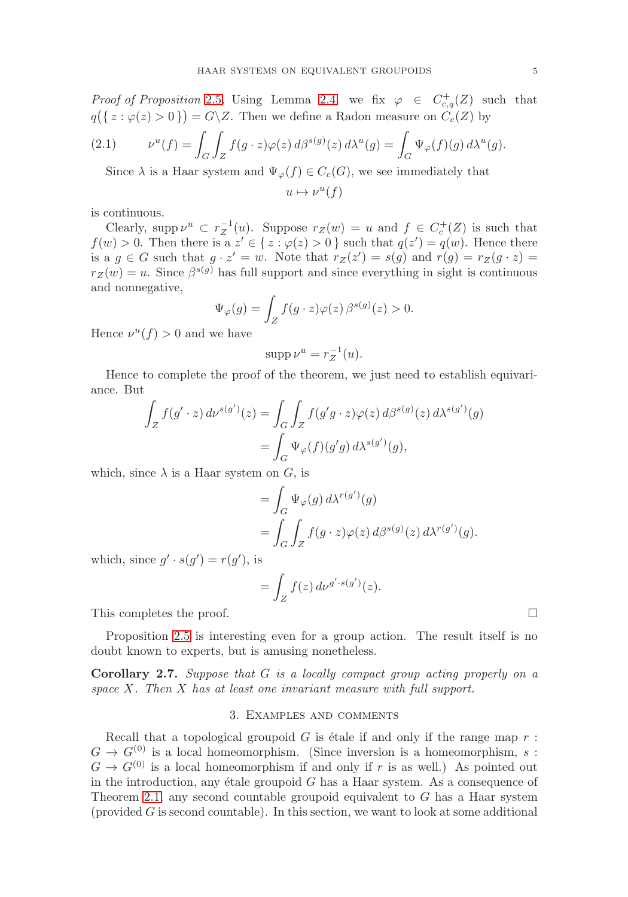*Proof of Proposition* [2.5](#page-3-1). Using Lemma [2.4,](#page-2-2) we fix  $\varphi \in C_{c,q}^+(Z)$  such that  $q(\{z: \varphi(z) > 0\}) = G\backslash Z$ . Then we define a Radon measure on  $C_c(Z)$  by

(2.1) 
$$
\nu^{u}(f) = \int_{G} \int_{Z} f(g \cdot z) \varphi(z) d\beta^{s(g)}(z) d\lambda^{u}(g) = \int_{G} \Psi_{\varphi}(f)(g) d\lambda^{u}(g).
$$

Since  $\lambda$  is a Haar system and  $\Psi_{\varphi}(f) \in C_c(G)$ , we see immediately that

$$
u \mapsto \nu^u(f)
$$

is continuous.

Clearly, supp  $\nu^u \subset r_Z^{-1}(u)$ . Suppose  $r_Z(w) = u$  and  $f \in C_c^+(Z)$  is such that  $f(w) > 0$ . Then there is a  $z' \in \{z : \varphi(z) > 0\}$  such that  $q(z') = q(w)$ . Hence there is a  $g \in G$  such that  $g \cdot z' = w$ . Note that  $r_Z(z') = s(g)$  and  $r(g) = r_Z(g \cdot z) =$  $r_Z(w) = u$ . Since  $\beta^{s(g)}$  has full support and since everything in sight is continuous and nonnegative,

$$
\Psi_{\varphi}(g) = \int_{Z} f(g \cdot z) \varphi(z) \,\beta^{s(g)}(z) > 0.
$$

Hence  $\nu^u(f) > 0$  and we have

$$
\operatorname{supp} \nu^u = r_Z^{-1}(u).
$$

Hence to complete the proof of the theorem, we just need to establish equivariance. But

$$
\int_{Z} f(g' \cdot z) d\nu^{s(g')} (z) = \int_{G} \int_{Z} f(g'g \cdot z) \varphi(z) d\beta^{s(g)}(z) d\lambda^{s(g')}(g)
$$

$$
= \int_{G} \Psi_{\varphi}(f)(g'g) d\lambda^{s(g')}(g),
$$

which, since  $\lambda$  is a Haar system on G, is

$$
= \int_G \Psi_{\varphi}(g) d\lambda^{r(g')}(g)
$$
  
= 
$$
\int_G \int_Z f(g \cdot z) \varphi(z) d\beta^{s(g)}(z) d\lambda^{r(g')}(g).
$$

which, since  $g' \cdot s(g') = r(g')$ , is

$$
= \int_Z f(z) \, d\nu^{g' \cdot s(g')}(z).
$$

This completes the proof.  $\Box$ 

Proposition [2.5](#page-3-1) is interesting even for a group action. The result itself is no doubt known to experts, but is amusing nonetheless.

**Corollary 2.7.** Suppose that G is a locally compact group acting properly on a space  $X$ . Then  $X$  has at least one invariant measure with full support.

### 3. Examples and comments

Recall that a topological groupoid  $G$  is étale if and only if the range map  $r$ :  $G \to G^{(0)}$  is a local homeomorphism. (Since inversion is a homeomorphism, s:  $G \to G^{(0)}$  is a local homeomorphism if and only if r is as well.) As pointed out in the introduction, any étale groupoid  $G$  has a Haar system. As a consequence of Theorem [2.1,](#page-1-1) any second countable groupoid equivalent to  $G$  has a Haar system  $(p_{\text{provided}} G)$  is second countable). In this section, we want to look at some additional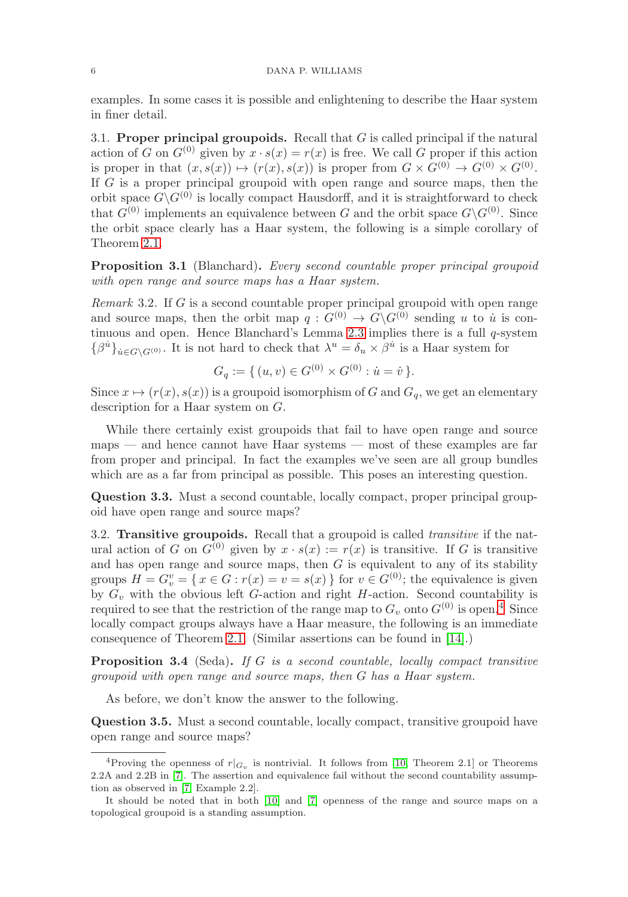examples. In some cases it is possible and enlightening to describe the Haar system in finer detail.

3.1. **Proper principal groupoids.** Recall that G is called principal if the natural action of G on  $G^{(0)}$  given by  $x \cdot s(x) = r(x)$  is free. We call G proper if this action is proper in that  $(x, s(x)) \mapsto (r(x), s(x))$  is proper from  $G \times G^{(0)} \to G^{(0)} \times G^{(0)}$ . If  $G$  is a proper principal groupoid with open range and source maps, then the orbit space  $G\backslash G^{(0)}$  is locally compact Hausdorff, and it is straightforward to check that  $G^{(0)}$  implements an equivalence between G and the orbit space  $G\backslash G^{(0)}$ . Since the orbit space clearly has a Haar system, the following is a simple corollary of Theorem [2.1.](#page-1-1)

**Proposition 3.1** (Blanchard). Every second countable proper principal groupoid with open range and source maps has a Haar system.

Remark 3.2. If G is a second countable proper principal groupoid with open range and source maps, then the orbit map  $q: G^{(0)} \to G\backslash G^{(0)}$  sending u to  $\dot{u}$  is continuous and open. Hence Blanchard's Lemma [2.3](#page-2-0) implies there is a full q-system  $\{\beta^{u}\}_{u\in G\backslash G^{(0)}}$ . It is not hard to check that  $\lambda^{u} = \delta_{u} \times \beta^{u}$  is a Haar system for

$$
G_q := \{ (u, v) \in G^{(0)} \times G^{(0)} : \dot{u} = \dot{v} \}.
$$

Since  $x \mapsto (r(x), s(x))$  is a groupoid isomorphism of G and  $G_q$ , we get an elementary description for a Haar system on G.

While there certainly exist groupoids that fail to have open range and source maps — and hence cannot have Haar systems — most of these examples are far from proper and principal. In fact the examples we've seen are all group bundles which are as a far from principal as possible. This poses an interesting question.

**Question 3.3.** Must a second countable, locally compact, proper principal groupoid have open range and source maps?

3.2. **Transitive groupoids.** Recall that a groupoid is called transitive if the natural action of G on  $G^{(0)}$  given by  $x \cdot s(x) := r(x)$  is transitive. If G is transitive and has open range and source maps, then  $G$  is equivalent to any of its stability groups  $H = G_v^v = \{ x \in G : r(x) = v = s(x) \}$  for  $v \in G^{(0)}$ ; the equivalence is given by  $G_v$  with the obvious left G-action and right H-action. Second countability is required to see that the restriction of the range map to  $G_v$  onto  $G^{(0)}$  is open.<sup>[4](#page-5-1)</sup> Since locally compact groups always have a Haar measure, the following is an immediate consequence of Theorem [2.1.](#page-1-1) (Similar assertions can be found in [\[14\]](#page-7-14).)

<span id="page-5-0"></span>**Proposition 3.4** (Seda). If G is a second countable, locally compact transitive groupoid with open range and source maps, then G has a Haar system.

As before, we don't know the answer to the following.

**Question 3.5.** Must a second countable, locally compact, transitive groupoid have open range and source maps?

<span id="page-5-1"></span><sup>&</sup>lt;sup>4</sup>Proving the openness of  $r|_{G_v}$  is nontrivial. It follows from [\[10,](#page-7-15) Theorem 2.1] or Theorems 2.2A and 2.2B in [\[7\]](#page-7-3). The assertion and equivalence fail without the second countability assumption as observed in [\[7,](#page-7-3) Example 2.2].

It should be noted that in both [\[10\]](#page-7-15) and [\[7\]](#page-7-3) openness of the range and source maps on a topological groupoid is a standing assumption.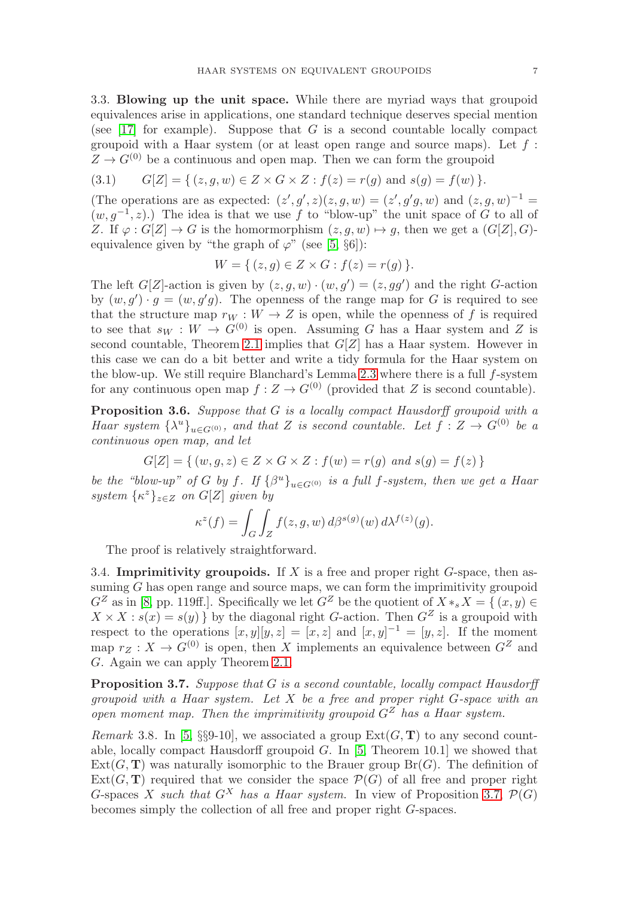3.3. **Blowing up the unit space.** While there are myriad ways that groupoid equivalences arise in applications, one standard technique deserves special mention (see [\[17\]](#page-7-16) for example). Suppose that  $G$  is a second countable locally compact groupoid with a Haar system (or at least open range and source maps). Let  $f$ :  $Z \to G^{(0)}$  be a continuous and open map. Then we can form the groupoid

$$
(3.1) \tG[Z] = \{ (z, g, w) \in Z \times G \times Z : f(z) = r(g) \text{ and } s(g) = f(w) \}.
$$

(The operations are as expected:  $(z', g', z)(z, g, w) = (z', g'g, w)$  and  $(z, g, w)^{-1} =$  $(w, g^{-1}, z)$ .) The idea is that we use f to "blow-up" the unit space of G to all of Z. If  $\varphi : G[Z] \to G$  is the homormorphism  $(z, g, w) \mapsto g$ , then we get a  $(G[Z], G)$ equivalence given by "the graph of  $\varphi$ " (see [\[5,](#page-7-5) §6]):

$$
W = \{ (z, g) \in Z \times G : f(z) = r(g) \}.
$$

The left  $G[Z]$ -action is given by  $(z, g, w) \cdot (w, g') = (z, gg')$  and the right G-action by  $(w, g') \cdot g = (w, g'g)$ . The openness of the range map for G is required to see that the structure map  $r_W : W \to Z$  is open, while the openness of f is required to see that  $s_W : W \to G^{(0)}$  is open. Assuming G has a Haar system and Z is second countable, Theorem [2.1](#page-1-1) implies that  $G[Z]$  has a Haar system. However in this case we can do a bit better and write a tidy formula for the Haar system on the blow-up. We still require Blanchard's Lemma [2.3](#page-2-0) where there is a full  $f$ -system for any continuous open map  $f: Z \to G^{(0)}$  (provided that Z is second countable).

**Proposition 3.6.** Suppose that G is a locally compact Hausdorff groupoid with a Haar system  $\{\lambda^u\}_{u \in G^{(0)}},$  and that Z is second countable. Let  $f: Z \to G^{(0)}$  be a continuous open map, and let

$$
G[Z] = \{ (w, g, z) \in Z \times G \times Z : f(w) = r(g) \text{ and } s(g) = f(z) \}
$$

be the "blow-up" of G by f. If  $\{\beta^u\}_{u \in G^{(0)}}$  is a full f-system, then we get a Haar system  $\{\kappa^z\}_{z\in Z}$  on  $G[Z]$  given by

$$
\kappa^{z}(f) = \int_{G} \int_{Z} f(z, g, w) d\beta^{s(g)}(w) d\lambda^{f(z)}(g).
$$

The proof is relatively straightforward.

3.4. **Imprimitivity groupoids.** If  $X$  is a free and proper right  $G$ -space, then assuming G has open range and source maps, we can form the imprimitivity groupoid  $G^Z$  as in [\[8,](#page-7-17) pp. 119ff.]. Specifically we let  $G^Z$  be the quotient of  $X *_s X = \{ (x, y) \in G^Z \}$  $X \times X : s(x) = s(y)$  by the diagonal right G-action. Then  $G^Z$  is a groupoid with respect to the operations  $[x, y][y, z] = [x, z]$  and  $[x, y]^{-1} = [y, z]$ . If the moment map  $r_Z : X \to G^{(0)}$  is open, then X implements an equivalence between  $G^Z$  and G. Again we can apply Theorem [2.1.](#page-1-1)

<span id="page-6-0"></span>**Proposition 3.7.** Suppose that G is a second countable, locally compact Hausdorff groupoid with a Haar system. Let  $X$  be a free and proper right  $G$ -space with an open moment map. Then the imprimitivity groupoid  $G^Z$  has a Haar system.

*Remark* 3.8. In [\[5,](#page-7-5) §§9-10], we associated a group  $Ext(G, T)$  to any second countable, locally compact Hausdorff groupoid  $G$ . In [\[5,](#page-7-5) Theorem 10.1] we showed that  $Ext(G, T)$  was naturally isomorphic to the Brauer group  $Br(G)$ . The definition of  $Ext(G, T)$  required that we consider the space  $\mathcal{P}(G)$  of all free and proper right G-spaces X such that  $G^X$  has a Haar system. In view of Proposition [3.7,](#page-6-0)  $\mathcal{P}(G)$ becomes simply the collection of all free and proper right G-spaces.